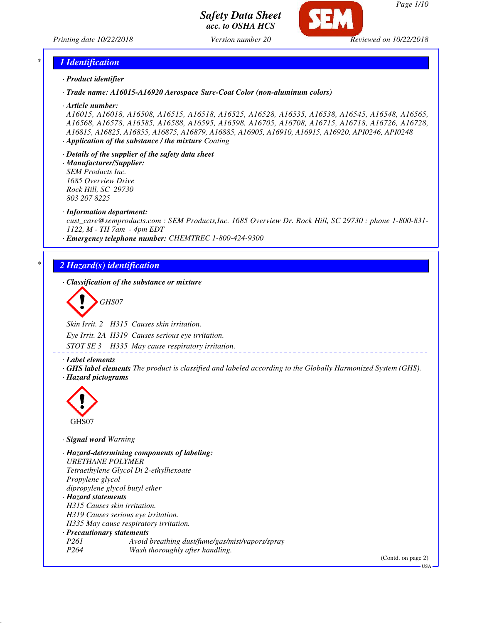

*Page 1/10*

*Printing date 10/22/2018 Version number 20 Reviewed on 10/22/2018*

### *\* 1 Identification*

*· Product identifier*

*· Trade name: A16015-A16920 Aerospace Sure-Coat Color (non-aluminum colors)*

*· Article number:*

*A16015, A16018, A16508, A16515, A16518, A16525, A16528, A16535, A16538, A16545, A16548, A16565, A16568, A16578, A16585, A16588, A16595, A16598, A16705, A16708, A16715, A16718, A16726, A16728, A16815, A16825, A16855, A16875, A16879, A16885, A16905, A16910, A16915, A16920, API0246, API0248 · Application of the substance / the mixture Coating*

- *· Details of the supplier of the safety data sheet*
- *· Manufacturer/Supplier: SEM Products Inc. 1685 Overview Drive Rock Hill, SC 29730 803 207 8225*
- *· Information department:*

*cust\_care@semproducts.com : SEM Products,Inc. 1685 Overview Dr. Rock Hill, SC 29730 : phone 1-800-831- 1122, M - TH 7am - 4pm EDT*

*· Emergency telephone number: CHEMTREC 1-800-424-9300*

### *\* 2 Hazard(s) identification*

*· Classification of the substance or mixture*

*GHS07*

*Skin Irrit. 2 H315 Causes skin irritation.*

*Eye Irrit. 2A H319 Causes serious eye irritation.*

*STOT SE 3 H335 May cause respiratory irritation.*

- *· Label elements*
- *· GHS label elements The product is classified and labeled according to the Globally Harmonized System (GHS). · Hazard pictograms*



*· Signal word Warning*

*· Hazard-determining components of labeling: URETHANE POLYMER Tetraethylene Glycol Di 2-ethylhexoate Propylene glycol dipropylene glycol butyl ether · Hazard statements H315 Causes skin irritation. H319 Causes serious eye irritation. H335 May cause respiratory irritation. · Precautionary statements P261 Avoid breathing dust/fume/gas/mist/vapors/spray P264 Wash thoroughly after handling.*

(Contd. on page 2)

USA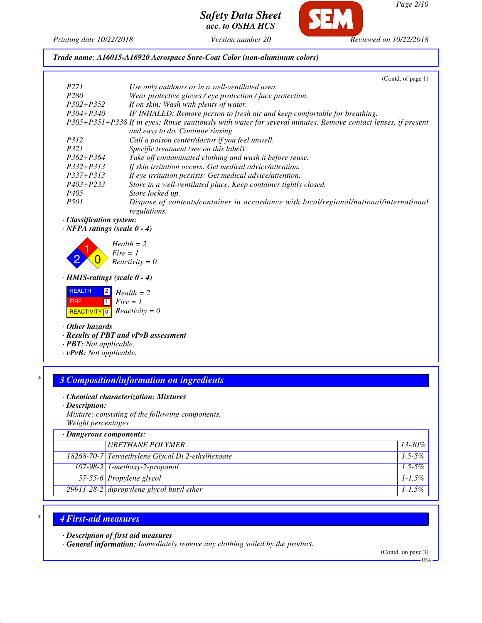*Page 2/10*

*Safety Data Sheet acc. to OSHA HCS*

**CET** 

*Printing date 10/22/2018 Version number 20 Reviewed on 10/22/2018*

*Trade name: A16015-A16920 Aerospace Sure-Coat Color (non-aluminum colors)*

|                                    | (Contd. of page 1)                                                                                            |
|------------------------------------|---------------------------------------------------------------------------------------------------------------|
| P <sub>271</sub>                   | Use only outdoors or in a well-ventilated area.                                                               |
| P <sub>280</sub>                   | Wear protective gloves / eye protection / face protection.                                                    |
| $P302 + P352$                      | If on skin: Wash with plenty of water.                                                                        |
| $P304 + P340$                      | IF INHALED: Remove person to fresh air and keep comfortable for breathing.                                    |
|                                    | P305+P351+P338 If in eyes: Rinse cautiously with water for several minutes. Remove contact lenses, if present |
|                                    | and easy to do. Continue rinsing.                                                                             |
| <i>P312</i>                        | Call a poison center/doctor if you feel unwell.                                                               |
| P321                               | Specific treatment (see on this label).                                                                       |
| $P362 + P364$                      | Take off contaminated clothing and wash it before reuse.                                                      |
| $P332 + P313$                      | If skin irritation occurs: Get medical advice/attention.                                                      |
| $P337 + P313$                      | If eye irritation persists: Get medical advice/attention.                                                     |
| P403+P233                          | Store in a well-ventilated place. Keep container tightly closed.                                              |
| P <sub>405</sub>                   | Store locked up.                                                                                              |
| P <sub>501</sub>                   | Dispose of contents/container in accordance with local/regional/national/international                        |
|                                    | regulations.                                                                                                  |
| · Classification system:           |                                                                                                               |
| $\cdot$ NFPA ratings (scale 0 - 4) |                                                                                                               |
|                                    |                                                                                                               |
|                                    | $Health = 2$                                                                                                  |
|                                    | $Fire = 1$                                                                                                    |
|                                    | $Reactivity = 0$                                                                                              |
| $\cdot$ HMIS-ratings (scale 0 - 4) |                                                                                                               |
| <b>HEALTH</b><br>$\sqrt{2}$        | $Health = 2$                                                                                                  |
| 1 <br><b>FIRE</b>                  | $Fire = 1$                                                                                                    |
| <b>REACTIVITY</b> 0                | $Reactivity = 0$                                                                                              |
| $\cdot$ Other hazards              |                                                                                                               |
|                                    | · Results of PBT and vPvB assessment                                                                          |
| · <b>PBT</b> : Not applicable.     |                                                                                                               |
| $T = 17.77$                        |                                                                                                               |

*· vPvB: Not applicable.*

# *\* 3 Composition/information on ingredients*

#### *· Chemical characterization: Mixtures*

*· Description:*

*Mixture: consisting of the following components. Weight percentages*

| $\cdot$ Dangerous components: |                                                    |             |
|-------------------------------|----------------------------------------------------|-------------|
|                               | <b>URETHANE POLYMER</b>                            | 13-30%      |
|                               | 18268-70-7 Tetraethylene Glycol Di 2-ethylhexoate  | $1.5 - 5\%$ |
|                               | $107-98-2$ 1-methoxy-2-propanol                    | $1.5 - 5\%$ |
|                               | 57-55-6 Propylene glycol                           | $1 - 1.5\%$ |
|                               | $\sqrt{29911-28-2}$ dipropylene glycol butyl ether | $1 - 1.5\%$ |

# *\* 4 First-aid measures*

*· Description of first aid measures*

*· General information: Immediately remove any clothing soiled by the product.*

(Contd. on page 3)

 $-<sub>USA</sub>$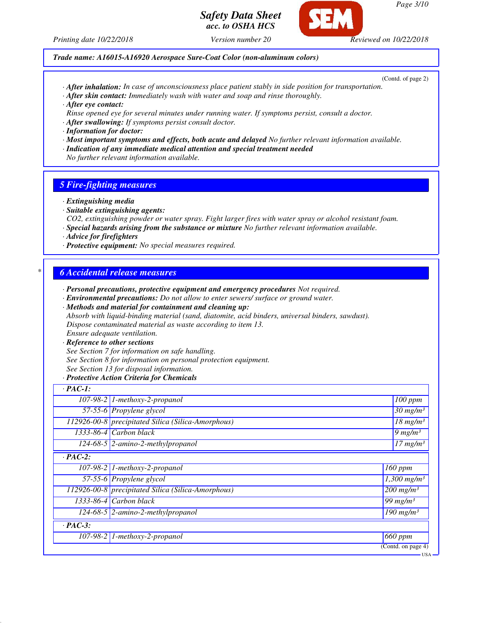



*Printing date 10/22/2018 Version number 20 Reviewed on 10/22/2018*

(Contd. of page 2)

- *· After inhalation: In case of unconsciousness place patient stably in side position for transportation.*
- *· After skin contact: Immediately wash with water and soap and rinse thoroughly.*

*Trade name: A16015-A16920 Aerospace Sure-Coat Color (non-aluminum colors)*

- *· After eye contact:*
- *Rinse opened eye for several minutes under running water. If symptoms persist, consult a doctor.*
- *· After swallowing: If symptoms persist consult doctor.*
- *· Information for doctor:*
- *· Most important symptoms and effects, both acute and delayed No further relevant information available.*
- *· Indication of any immediate medical attention and special treatment needed*
- *No further relevant information available.*

## *5 Fire-fighting measures*

- *· Extinguishing media*
- *· Suitable extinguishing agents:*
- *CO2, extinguishing powder or water spray. Fight larger fires with water spray or alcohol resistant foam.*
- *· Special hazards arising from the substance or mixture No further relevant information available.*
- *· Advice for firefighters*
- *· Protective equipment: No special measures required.*

## *\* 6 Accidental release measures*

- *· Personal precautions, protective equipment and emergency procedures Not required.*
- *· Environmental precautions: Do not allow to enter sewers/ surface or ground water.*
- *· Methods and material for containment and cleaning up:*
- *Absorb with liquid-binding material (sand, diatomite, acid binders, universal binders, sawdust). Dispose contaminated material as waste according to item 13.*
- *Ensure adequate ventilation.*
- *· Reference to other sections*
- *See Section 7 for information on safe handling.*
- *See Section 8 for information on personal protection equipment.*
- *See Section 13 for disposal information.*

#### *· Protective Action Criteria for Chemicals*

| 100 ppm                              |
|--------------------------------------|
| $30$ mg/m <sup>3</sup>               |
| $\overline{18}$ mg/m <sup>3</sup>    |
| $9$ mg/m <sup>3</sup>                |
| $17$ mg/m <sup>3</sup>               |
|                                      |
| 160 ppm                              |
| $\overline{1,300}$ mg/m <sup>3</sup> |
| $200$ mg/m <sup>3</sup>              |
| $\sqrt{99}$ mg/m <sup>3</sup>        |
| $\overline{190}$ mg/m <sup>3</sup>   |
|                                      |
| $660$ ppm                            |
| (Contd. on page 4)                   |
|                                      |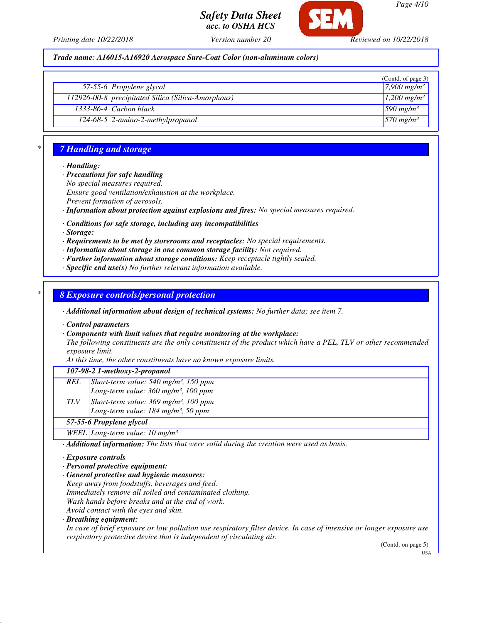

*Page 4/10*

*Printing date 10/22/2018 Version number 20 Reviewed on 10/22/2018*

*acc. to OSHA HCS*

*Safety Data Sheet*

*Trade name: A16015-A16920 Aerospace Sure-Coat Color (non-aluminum colors)*

|                                                    | (Contd. of page 3)        |
|----------------------------------------------------|---------------------------|
| 57-55-6 Propylene glycol                           | 7,900 mg/m <sup>3</sup>   |
| 112926-00-8 precipitated Silica (Silica-Amorphous) | $1,200$ mg/m <sup>3</sup> |
| $1333-86-4$ Carbon black                           | 590 mg/m <sup>3</sup>     |
| $124-68-5$ 2-amino-2-methylpropanol                | $570$ mg/m <sup>3</sup>   |

## *\* 7 Handling and storage*

*· Handling:*

*· Precautions for safe handling*

*No special measures required.*

*Ensure good ventilation/exhaustion at the workplace.*

*Prevent formation of aerosols.*

*· Information about protection against explosions and fires: No special measures required.*

*· Conditions for safe storage, including any incompatibilities*

*· Storage:*

*· Requirements to be met by storerooms and receptacles: No special requirements.*

*· Information about storage in one common storage facility: Not required.*

*· Further information about storage conditions: Keep receptacle tightly sealed.*

*· Specific end use(s) No further relevant information available.*

*\* 8 Exposure controls/personal protection*

*· Additional information about design of technical systems: No further data; see item 7.*

*· Control parameters*

*· Components with limit values that require monitoring at the workplace:*

*The following constituents are the only constituents of the product which have a PEL, TLV or other recommended exposure limit.*

*At this time, the other constituents have no known exposure limits.*

#### *107-98-2 1-methoxy-2-propanol*

- *REL Short-term value: 540 mg/m³, 150 ppm Long-term value: 360 mg/m³, 100 ppm TLV Short-term value: 369 mg/m³, 100 ppm*
- *Long-term value: 184 mg/m³, 50 ppm*

# *57-55-6 Propylene glycol*

*WEEL Long-term value: 10 mg/m³*

*· Additional information: The lists that were valid during the creation were used as basis.*

- *· Exposure controls*
- *· Personal protective equipment:*
- *· General protective and hygienic measures:*
- *Keep away from foodstuffs, beverages and feed.*

*Immediately remove all soiled and contaminated clothing.*

*Wash hands before breaks and at the end of work.*

*Avoid contact with the eyes and skin.*

*· Breathing equipment:*

*In case of brief exposure or low pollution use respiratory filter device. In case of intensive or longer exposure use respiratory protective device that is independent of circulating air.*

(Contd. on page 5)

USA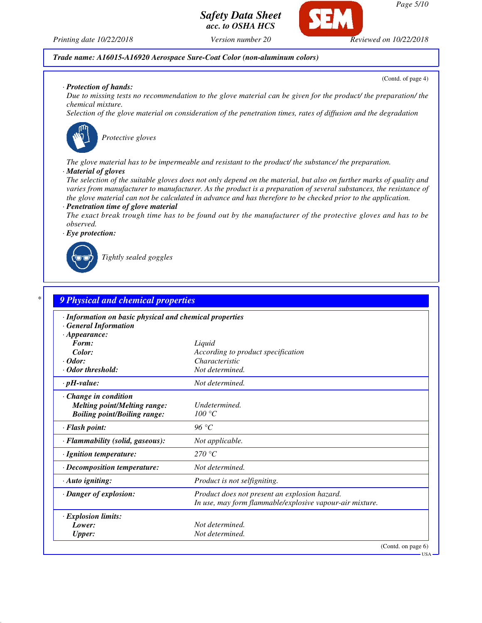

*Printing date 10/22/2018 Version number 20 Reviewed on 10/22/2018*

*Trade name: A16015-A16920 Aerospace Sure-Coat Color (non-aluminum colors)*

(Contd. of page 4)

#### *· Protection of hands:*

*Due to missing tests no recommendation to the glove material can be given for the product/ the preparation/ the chemical mixture.*

*Selection of the glove material on consideration of the penetration times, rates of diffusion and the degradation*



*Protective gloves*

*The glove material has to be impermeable and resistant to the product/ the substance/ the preparation.*

#### *· Material of gloves*

*The selection of the suitable gloves does not only depend on the material, but also on further marks of quality and varies from manufacturer to manufacturer. As the product is a preparation of several substances, the resistance of the glove material can not be calculated in advance and has therefore to be checked prior to the application.*

### *· Penetration time of glove material*

*The exact break trough time has to be found out by the manufacturer of the protective gloves and has to be observed.*



*Tightly sealed goggles*

| · Information on basic physical and chemical properties |                                                          |
|---------------------------------------------------------|----------------------------------------------------------|
| <b>General Information</b>                              |                                                          |
| $\cdot$ Appearance:                                     |                                                          |
| Form:                                                   | Liquid                                                   |
| Color:                                                  | According to product specification                       |
| $\cdot$ Odor:                                           | Characteristic                                           |
| · Odor threshold:                                       | Not determined.                                          |
| $\cdot$ pH-value:                                       | Not determined.                                          |
| · Change in condition                                   |                                                          |
| <b>Melting point/Melting range:</b>                     | Undetermined.                                            |
| <b>Boiling point/Boiling range:</b>                     | 100 °C                                                   |
| · Flash point:                                          | 96 °C                                                    |
| · Flammability (solid, gaseous):                        | Not applicable.                                          |
| · Ignition temperature:                                 | 270 °C                                                   |
| · Decomposition temperature:                            | Not determined.                                          |
| · Auto igniting:                                        | Product is not selfigniting.                             |
| · Danger of explosion:                                  | Product does not present an explosion hazard.            |
|                                                         | In use, may form flammable/explosive vapour-air mixture. |
| · Explosion limits:                                     |                                                          |
| Lower:                                                  | Not determined.                                          |
| <b>Upper:</b>                                           | Not determined.                                          |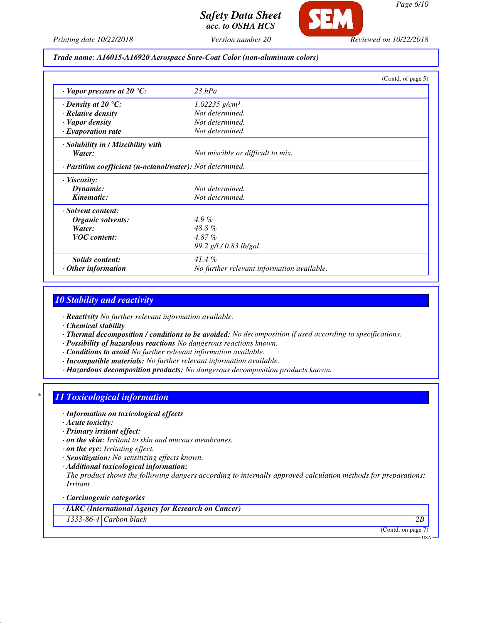

*Page 6/10*

*Printing date 10/22/2018 Version number 20 Reviewed on 10/22/2018*

*Trade name: A16015-A16920 Aerospace Sure-Coat Color (non-aluminum colors)*

|                                                            |                                            | (Contd. of page 5) |
|------------------------------------------------------------|--------------------------------------------|--------------------|
| $\cdot$ Vapor pressure at 20 $\degree$ C:                  | $23$ $hPa$                                 |                    |
| $\cdot$ Density at 20 $\degree$ C:                         | $1.02235$ g/cm <sup>3</sup>                |                    |
| · Relative density                                         | Not determined.                            |                    |
| · Vapor density                                            | Not determined.                            |                    |
| $\cdot$ Evaporation rate                                   | Not determined.                            |                    |
| · Solubility in / Miscibility with                         |                                            |                    |
| Water:                                                     | Not miscible or difficult to mix.          |                    |
| · Partition coefficient (n-octanol/water): Not determined. |                                            |                    |
| $\cdot$ Viscosity:                                         |                                            |                    |
| Dynamic:                                                   | Not determined.                            |                    |
| Kinematic:                                                 | Not determined.                            |                    |
| · Solvent content:                                         |                                            |                    |
| Organic solvents:                                          | $4.9\%$                                    |                    |
| Water:                                                     | 48.8%                                      |                    |
| <b>VOC</b> content:                                        | $4.87\%$                                   |                    |
|                                                            | 99.2 g/l / 0.83 lb/gal                     |                    |
| Solids content:                                            | $41.4\%$                                   |                    |
| $\cdot$ Other information                                  | No further relevant information available. |                    |

# *10 Stability and reactivity*

*· Reactivity No further relevant information available.*

*· Chemical stability*

- *· Thermal decomposition / conditions to be avoided: No decomposition if used according to specifications.*
- *· Possibility of hazardous reactions No dangerous reactions known.*
- *· Conditions to avoid No further relevant information available.*
- *· Incompatible materials: No further relevant information available.*
- *· Hazardous decomposition products: No dangerous decomposition products known.*

### *\* 11 Toxicological information*

- *· Information on toxicological effects*
- *· Acute toxicity:*
- *· Primary irritant effect:*
- *· on the skin: Irritant to skin and mucous membranes.*
- *· on the eye: Irritating effect.*
- *· Sensitization: No sensitizing effects known.*
- *· Additional toxicological information:*

*The product shows the following dangers according to internally approved calculation methods for preparations: Irritant*

#### *· Carcinogenic categories*

*· IARC (International Agency for Research on Cancer)*

*1333-86-4 Carbon black 2B*

(Contd. on page 7)

USA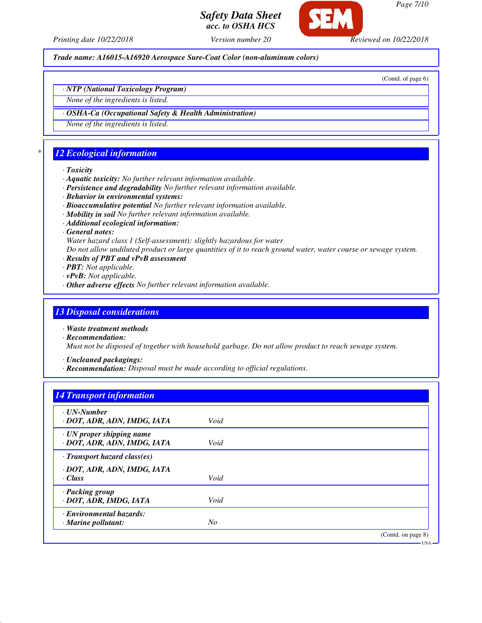

*Printing date 10/22/2018 Version number 20 Reviewed on 10/22/2018*

*Trade name: A16015-A16920 Aerospace Sure-Coat Color (non-aluminum colors)*

(Contd. of page 6)

*· NTP (National Toxicology Program)*

*None of the ingredients is listed.*

*· OSHA-Ca (Occupational Safety & Health Administration)*

*None of the ingredients is listed.*

# *\* 12 Ecological information*

#### *· Toxicity*

- *· Aquatic toxicity: No further relevant information available.*
- *· Persistence and degradability No further relevant information available.*
- *· Behavior in environmental systems:*
- *· Bioaccumulative potential No further relevant information available.*
- *· Mobility in soil No further relevant information available.*
- *· Additional ecological information:*
- *· General notes:*
- *Water hazard class 1 (Self-assessment): slightly hazardous for water*

*Do not allow undiluted product or large quantities of it to reach ground water, water course or sewage system.*

- *· Results of PBT and vPvB assessment*
- *· PBT: Not applicable.*
- *· vPvB: Not applicable.*
- *· Other adverse effects No further relevant information available.*

# *13 Disposal considerations*

- *· Waste treatment methods*
- *· Recommendation:*

*Must not be disposed of together with household garbage. Do not allow product to reach sewage system.*

*· Uncleaned packagings:*

*· Recommendation: Disposal must be made according to official regulations.*

# *14 Transport information*

| $\cdot$ UN-Number                                              |      |                    |
|----------------------------------------------------------------|------|--------------------|
| · DOT, ADR, ADN, IMDG, IATA                                    | Void |                    |
| $\cdot$ UN proper shipping name<br>· DOT, ADR, ADN, IMDG, IATA | Void |                    |
| $\cdot$ Transport hazard class(es)                             |      |                    |
| · DOT, ADR, ADN, IMDG, IATA                                    |      |                    |
| · Class                                                        | Void |                    |
| · Packing group<br>· DOT, ADR, IMDG, IATA                      | Void |                    |
| · Environmental hazards:                                       |      |                    |
| $\cdot$ Marine pollutant:                                      | No   |                    |
|                                                                |      | (Contd. on page 8) |
|                                                                |      | $USA -$            |

*Page 7/10*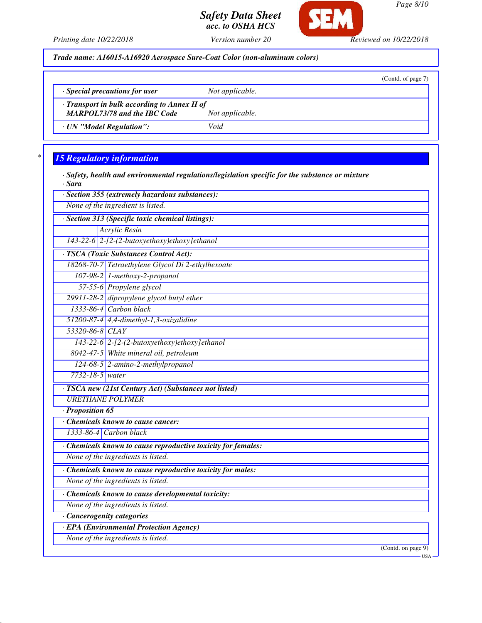

*Printing date 10/22/2018 Version number 20 Reviewed on 10/22/2018*

*Trade name: A16015-A16920 Aerospace Sure-Coat Color (non-aluminum colors)*

|                                                                                           |                 | (Contd. of page 7) |
|-------------------------------------------------------------------------------------------|-----------------|--------------------|
| $\cdot$ Special precautions for user                                                      | Not applicable. |                    |
| $\cdot$ Transport in bulk according to Annex II of<br><b>MARPOL73/78 and the IBC Code</b> | Not applicable. |                    |
| · UN "Model Regulation":                                                                  | Void            |                    |

# *\* 15 Regulatory information*

*· Safety, health and environmental regulations/legislation specific for the substance or mixture · Sara*

| · Section 355 (extremely hazardous substances):               |  |  |
|---------------------------------------------------------------|--|--|
| None of the ingredient is listed.                             |  |  |
| · Section 313 (Specific toxic chemical listings):             |  |  |
| Acrylic Resin                                                 |  |  |
| 143-22-6 2-[2-(2-butoxyethoxy)ethoxy]ethanol                  |  |  |
| · TSCA (Toxic Substances Control Act):                        |  |  |
| 18268-70-7 Tetraethylene Glycol Di 2-ethylhexoate             |  |  |
| $107-98-2$ 1-methoxy-2-propanol                               |  |  |
| 57-55-6 Propylene glycol                                      |  |  |
| 29911-28-2 dipropylene glycol butyl ether                     |  |  |
| $1333-86-4$ Carbon black                                      |  |  |
| 51200-87-4 4,4-dimethyl-1,3-oxizalidine                       |  |  |
| 53320-86-8 CLAY                                               |  |  |
| $143-22-6$ 2-[2-(2-butoxyethoxy)ethoxy]ethanol                |  |  |
| 8042-47-5 White mineral oil, petroleum                        |  |  |
| $124-68-5$ 2-amino-2-methylpropanol                           |  |  |
| 7732-18-5 water                                               |  |  |
| · TSCA new (21st Century Act) (Substances not listed)         |  |  |
| <b>URETHANE POLYMER</b>                                       |  |  |
| · Proposition 65                                              |  |  |
| Chemicals known to cause cancer:                              |  |  |
| 1333-86-4 Carbon black                                        |  |  |
| · Chemicals known to cause reproductive toxicity for females: |  |  |
| None of the ingredients is listed.                            |  |  |
| Chemicals known to cause reproductive toxicity for males:     |  |  |

*None of the ingredients is listed.*

*· Chemicals known to cause developmental toxicity:*

*None of the ingredients is listed.*

*· Cancerogenity categories*

*· EPA (Environmental Protection Agency)*

*None of the ingredients is listed.*

(Contd. on page 9)

USA

*Page 8/10*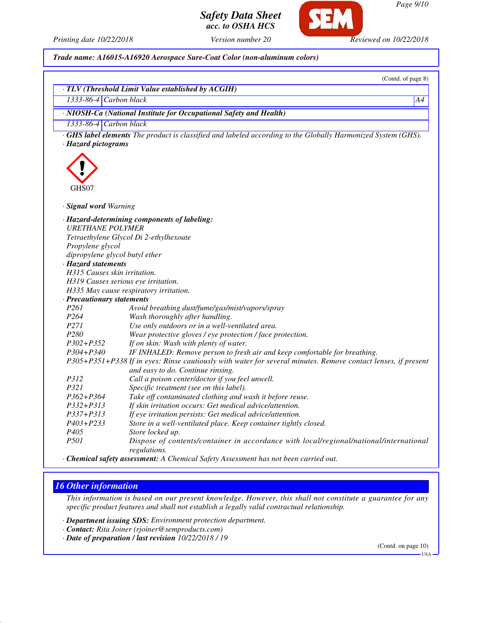*Page 9/10*

(Contd. of page 8)

# *Safety Data Sheet acc. to OSHA HCS*



*Printing date 10/22/2018 Version number 20 Reviewed on 10/22/2018*

*Trade name: A16015-A16920 Aerospace Sure-Coat Color (non-aluminum colors)*

|                                | · TLV (Threshold Limit Value established by ACGIH)                                                                                                 |
|--------------------------------|----------------------------------------------------------------------------------------------------------------------------------------------------|
| $1333-86-4$ Carbon black       | A4                                                                                                                                                 |
|                                | · NIOSH-Ca (National Institute for Occupational Safety and Health)                                                                                 |
| 1333-86-4 Carbon black         |                                                                                                                                                    |
| · Hazard pictograms            | <b>GHS label elements</b> The product is classified and labeled according to the Globally Harmonized System (GHS).                                 |
| GHS07                          |                                                                                                                                                    |
|                                |                                                                                                                                                    |
| · Signal word Warning          |                                                                                                                                                    |
| <b>URETHANE POLYMER</b>        | · Hazard-determining components of labeling:                                                                                                       |
|                                | Tetraethylene Glycol Di 2-ethylhexoate                                                                                                             |
| Propylene glycol               |                                                                                                                                                    |
| dipropylene glycol butyl ether |                                                                                                                                                    |
| · Hazard statements            |                                                                                                                                                    |
| H315 Causes skin irritation.   |                                                                                                                                                    |
|                                | H319 Causes serious eye irritation.                                                                                                                |
|                                | H335 May cause respiratory irritation.                                                                                                             |
| · Precautionary statements     |                                                                                                                                                    |
| P261                           | Avoid breathing dust/fume/gas/mist/vapors/spray                                                                                                    |
| P <sub>264</sub>               | Wash thoroughly after handling.                                                                                                                    |
| P271                           | Use only outdoors or in a well-ventilated area.                                                                                                    |
| P280                           | Wear protective gloves / eye protection / face protection.                                                                                         |
| $P302 + P352$                  | If on skin: Wash with plenty of water.                                                                                                             |
| P304+P340                      | IF INHALED: Remove person to fresh air and keep comfortable for breathing.                                                                         |
|                                | P305+P351+P338 If in eyes: Rinse cautiously with water for several minutes. Remove contact lenses, if present<br>and easy to do. Continue rinsing. |
| P312                           | Call a poison center/doctor if you feel unwell.                                                                                                    |
| P321                           | Specific treatment (see on this label).                                                                                                            |
| P362+P364                      | Take off contaminated clothing and wash it before reuse.                                                                                           |
| P332+P313                      | If skin irritation occurs: Get medical advice/attention.                                                                                           |
| P337+P313                      | If eye irritation persists: Get medical advice/attention.                                                                                          |
| P403+P233                      | Store in a well-ventilated place. Keep container tightly closed.                                                                                   |
| P405                           | Store locked up.                                                                                                                                   |
| P501                           | Dispose of contents/container in accordance with local/regional/national/international<br>regulations.                                             |

*· Chemical safety assessment: A Chemical Safety Assessment has not been carried out.*

# *16 Other information*

*This information is based on our present knowledge. However, this shall not constitute a guarantee for any specific product features and shall not establish a legally valid contractual relationship.*

*· Department issuing SDS: Environment protection department.*

- *· Contact: Rita Joiner (rjoiner@semproducts.com)*
- *· Date of preparation / last revision 10/22/2018 / 19*

(Contd. on page 10)

USA